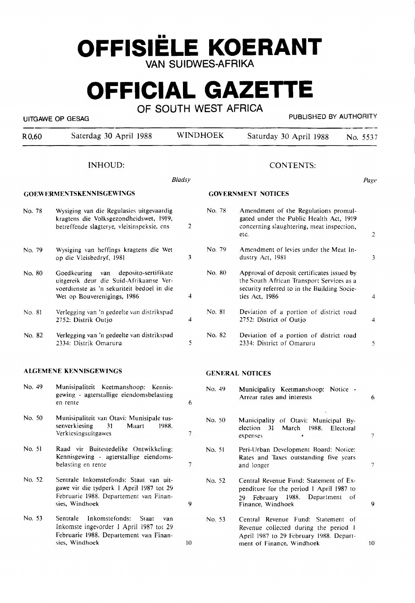# **OFFISIELE KOERANT**  VAN SUIDWES-AFRIKA

# **OFFICIAL GAZETTE**

OF SOUTH WEST AFRICA

UITGAWE OP GESAG **PUBLISHED BY AUTHORITY** 

R0,60 Saterdag 30 April 1988 WINDHOEK Saturday 30 April 1988 No. 5537

### INHOUD:

|        | <b>Bladsy</b><br>Page                                                                                                                                              |                           |        |                                                                                                                                                          |   |
|--------|--------------------------------------------------------------------------------------------------------------------------------------------------------------------|---------------------------|--------|----------------------------------------------------------------------------------------------------------------------------------------------------------|---|
|        | <b>GOEWERMENTSKENNISGEWINGS</b>                                                                                                                                    | <b>GOVERNMENT NOTICES</b> |        |                                                                                                                                                          |   |
| No. 78 | Wysiging van die Regulasies uitgevaardig<br>kragtens die Volksgezondheidswet, 1919,<br>betreffende slagterye, vleisinspeksie, ens                                  | $\overline{2}$            | No. 78 | Amendment of the Regulations promul-<br>gated under the Public Health Act, 1919<br>concerning slaughtering, meat inspection,<br>etc.                     | 2 |
| No. 79 | Wysiging van heffings kragtens die Wet<br>op die Vleisbedryf, 1981                                                                                                 | 3                         | No. 79 | Amendment of levies under the Meat In-<br>dustry Act, 1981                                                                                               | 3 |
| No. 80 | deposito-sertifikate<br>Goedkeuring<br>van<br>uitgereik deur die Suid-Afrikaanse Ver-<br>voerdienste as 'n sekuriteit bedoel in die<br>Wet op Bouverenigings, 1986 | 4                         | No. 80 | Approval of deposit certificates issued by<br>the South African Transport Services as a<br>security referred to in the Building Socie-<br>ties Act. 1986 | 4 |
| No. 81 | Verlegging van 'n gedeelte van distrikspad<br>2752: Distrik Outjo                                                                                                  | 4                         | No. 81 | Deviation of a portion of district road<br>2752: District of Outio                                                                                       | 4 |
| No. 82 | Verlegging van 'n gedeelte van distrikspad<br>2334: Distrik Omaruru                                                                                                | 5                         | No. 82 | Deviation of a portion of district road<br>2334: District of Omaruru                                                                                     | 5 |
|        | ALGEMENE KENNISGEWINGS                                                                                                                                             |                           |        | <b>GENERAL NOTICES</b>                                                                                                                                   |   |
| No. 49 | Munisipaliteit Keetmanshoop: Kennis-<br>gewing - agterstallige eiendomsbelasting<br>en rente                                                                       | 6                         | No. 49 | Municipality Keetmanshoop: Notice -<br>Arrear rates and interests                                                                                        | 6 |

7

No. SO

expenses

7

9

10

- No. SO Munisipaliteit van Otavi: Munisipale tussenverkiesing 31 Maart 1988. Verkiesingsuitgawes
- No. SI Raad vir Buitestedelike Ontwikkeling: Kennisgewing - agterstallige eiendomsbelasting en rente
- No. 52 Sentrale Inkomstefonds: Staat van uitgawe vir die tydperk I April 1987 tot 29 Februarie **1988.** Departement van Finansies, Windhoek
- No. 53 Sentrale Inkomstefonds: Staat van Inkomste ingevorder I April 1987 tot 29 Februarie **1988.** Departement van Finansies, Windhoek
- No. SI Peri-Urban Development Board: Notice: Rates and Taxes outstanding five years and longer

Municipality of Otavi: Municipal Byelection 31 March 1988. Electoral

- No. 52 Central Revenue Fund: Statement of Expenditure for the period I April 1987 to 29 February **1988.** Department of Finance, Windhoek 9
- No. 53 Central Revenue Fund: Statement of Revenue collected during the period I April 1987 to 29 February 1988. Department of Finance, Windhoek 10

7

7

### CONTENTS: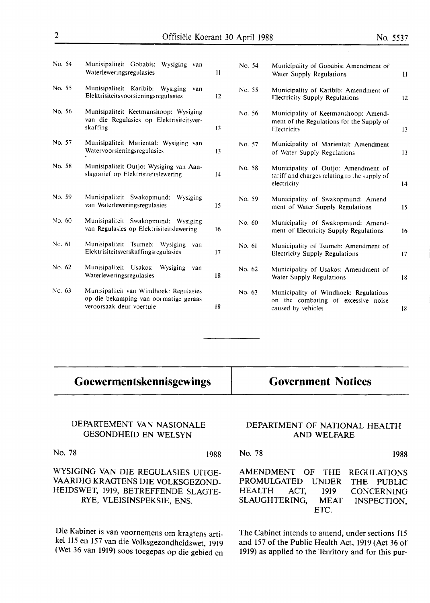|  | nt 30 April 1988. |  |  |  |
|--|-------------------|--|--|--|
|  |                   |  |  |  |

| No. 54   | Munisipaliteit Gobabis.<br>Wysiging van<br>Waterleweringsregulasies                           | 11 | No. 54 | Municipality of Gobabis: Amendment of<br>Water Supply Regulations                                  | 11 |
|----------|-----------------------------------------------------------------------------------------------|----|--------|----------------------------------------------------------------------------------------------------|----|
| No. 55   | Munisipaliteit Karibib:<br>Wysiging<br>van<br>Elektrisiteitsvoorsieningsregulasies            | 12 | No. 55 | Municipality of Karibib: Amendment of<br>Electricity Supply Regulations                            | 12 |
| No. 56   | Munisipaliteit Keetmanshoop: Wysiging<br>van die Regulasies op Elektrisiteitsver-<br>skaffing | 13 | No. 56 | Municipality of Keetmanshoop: Amend-<br>ment of the Regulations for the Supply of<br>Electricity   | 13 |
| No. 57   | Munisipaliteit Mariental: Wysiging van<br>Watervoorsieningsregulasies                         | 13 | No. 57 | Municipality of Mariental: Amendment<br>of Water Supply Regulations                                | 13 |
| No. 58   | Munisipaliteit Outjo: Wysiging van Aan-<br>slagtarief op Elektrisiteitslewering               | 14 | No. 58 | Municipality of Outjo: Amendment of<br>tariff and charges relating to the supply of<br>electricity | 14 |
| No. 59   | Munisipaliteit Swakopmund:<br>Wysiging<br>van Waterleweringsregulasies                        | 15 | No. 59 | Municipality of Swakopmund: Amend-<br>ment of Water Supply Regulations                             | 15 |
| No. $60$ | Munisipaliteit Swakopmund: Wysiging<br>van Regulasies op Elektrisiteitslewering               | 16 | No. 60 | Municipality of Swakopmund: Amend-<br>ment of Electricity Supply Regulations                       | 16 |
| No. 61   | Munisipaliteit Tsumeb: Wysiging<br>van<br>Elektrisiteitsverskaffingsregulasies                | 17 | No. 61 | Municipality of Tsumeb: Amendment of<br><b>Electricity Supply Regulations</b>                      | 17 |
| No. 62   | Munisipaliteit Usakos:<br>Wysiging<br>van<br>Waterleweringsregulasies                         | 18 | No. 62 | Municipality of Usakos: Amendment of<br>Water Supply Regulations                                   | 18 |
| No. 63   | Munisipaliteit van Windhoek: Regulasies                                                       |    | No. 63 | Municipality of Windhoek: Regulations                                                              |    |

18

# **Goewermentskennisgewings**

op die bekamping van oormatige geraas

veroorsaak deur voertuie

**Government Notices** 

on the combating of excessive noise

caused by vehicles

### DEPARTEMENT VAN NASIONALE GESONDHEID EN WELSYN

No. 78 1988

WYSIGING VAN DIE REGULASIES UITGE-VAARDIG KRAGTENS DIE VOLKSGEZOND-HEIDSWET, 1919, BETREFFENDE SLAGTE-RYE, VLEISINSPEKSIE, ENS.

Die Kabinet is van voornemens om kragtens artikel 115 en 157 van die Volksgezondheidswet, 1919 (Wet 36 van 1919) soos toegepas op die gebied en

### DEPARTMENT OF NATIONAL HEALTH AND WELFARE

No. 78 AMENDMENT OF THE PROMULGATED UNDER HEALTH ACT, 1919 1988 REGULATIONS THE PUBLIC CONCERNING SLAUGHTERING, MEAT INSPECTION, ETC.

The Cabinet intends to amend, under sections 115 and 157 of the Public Health Act, 1919 (Act 36 of 1919) as applied to the Territory and for this pur-

18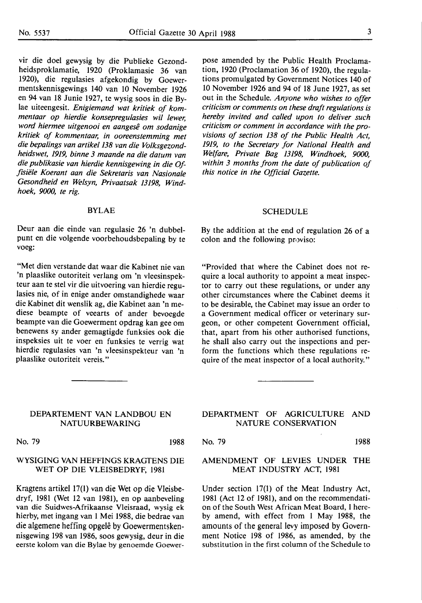vir die doel gewysig by die Publieke Gezondheidsproklamatie, 1920 (Proklamasie 36 van 1920), die regulasies afgekondig by Goewermentskennisgewings 140 van 10 November 1926 en 94 van 18 Junie 1927, te wysig soos in die Bylae uiteengesit. *Enigiemand wat kritiek of kommentaar op hierdie konsepregulasies wil fewer, word hiermee uitgenooi en aangese om sodanige kritiek of kommentaar, in ooreenstemming met die bepalings van artikel 138 van die Volksgezondheidswet, 1919, binne 3 maande na die datum van die publikasie van hierdie kennisgewing in die Offisiele Koerant aan die Sekretaris van Nasionale Gesondheid en We/syn, Privaatsak 13198, Windhoek, 9000, te rig.* 

### **BYLAE**

Deur aan die einde van regulasie 26 'n dubbelpunt en die volgende voorbehoudsbepaling by te voeg:

"Met dien verstande dat waar die Kabinet nie van 'n plaaslike outoriteit verlang om 'n vleesinspekteur aan te stel vir die uitvoering van hierdie regulasies nie, of in enige ander omstandighede waar die Kabinet dit wenslik ag, die Kabinet aan 'n mediese beampte of veearts of ander bevoegde beampte van die Goewerment opdrag kan gee om benewens sy ander gemagtigde funksies ook die inspeksies uit te voer en funksies te verrig wat hierdie regulasies van 'n vleesinspekteur van 'n plaaslike outoriteit vereis."

### DEPARTEMENT VAN LANDBOU EN NATUURBEWARING

No. 79 1988

### WYSIGING VAN HEFFINGS KRAGTENS DIE WET OP DIE VLEISBEDRYF, 1981

Kragtens artikel 17(1) van die Wet op die Vleisbedryf, 1981 (Wet 12 van 1981), en op aanbeveling van die Suidwes-Afrikaanse Vleisraad, wysig ek hierby, met ingang van I Mei 1988, die bedrae van die algemene heffing opgele by Goewermentskennisgewing 198 van 1986, soos gewysig, deur in die eerste kolom van die Bylae by genoemde Goewerpose amended by the Public Health Proclamation, 1920 (Proclamation 36 of 1920), the regulations promulgated by Government Notices 140 of 10 November 1926 and 94 of 18 June 1927, as set out in the Schedule. *Anyone who wishes to offer criticism or comments on these draft regulations is hereby invited and called upon to deliver such criticism or comment in accordance with the provisions of section 138 of the Public Health Act, 1919, to the Secretary for National Health and Welfare, Private Bag 13198, Windhoek, 9000, within 3 months from the date of publication of this notice in the Official Gazette.* 

### **SCHEDULE**

By the addition at the end of regulation 26 of a colon and the following proviso:

"Provided that where the Cabinet does not require a local authority to appoint a meat inspector to carry out these regulations, or under any other circumstances where the Cabinet deems it to be desirable, the Cabinet may issue an order to a Government medical officer or veterinary surgeon, or other competent Government official, that, apart from his other authorised functions, he shall also carry out the inspections and perform the functions which these regulations require of the meat inspector of a local authority."

DEPARTMENT OF AGRICULTURE AND NATURE CONSERVATION

No. 79 1988

### AMENDMENT OF LEVIES UNDER THE MEAT INDUSTRY ACT, 1981

Under section 17(1) of the Meat Industry Act, 1981 (Act 12 of 1981), and on the recommendation of the South West African Meat Board, I hereby amend, with effect from I May 1988, the amounts of the general levy imposed by Government Notice 198 of 1986, as amended, by the substitution in the first column of the Schedule to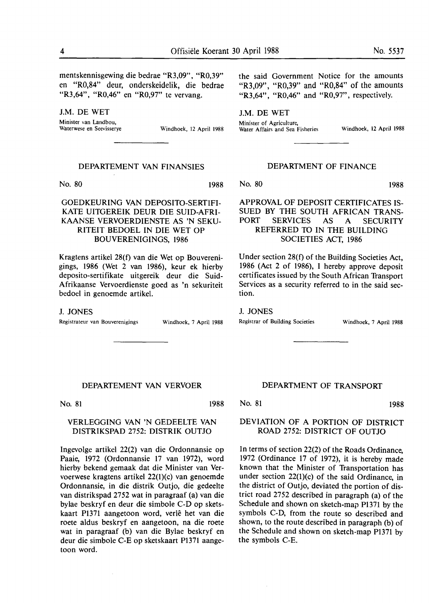mentskennisgewing die bedrae "R3,09", "R0,39" en "R0,84" deur, onderskeidelik, die bedrae "R3,64", "R0,46" en "R0,97" te vervang.

**J.M.** DE WET

Minister van Landbou,<br>Waterwese en Seevisserve

Windhoek, 12 April 1988

the said Government Notice for the amounts "R3.09", "R0.39" and "R0.84" of the amounts "R3.64", "R0.46" and "R0.97", respectively.

**J.M.** DE WET Minister of Agriculture,

Water Affairs and Sea Fisheries Windhoek, 12 April 1988

### DEPARTEMENT VAN FINANSIES

No. 80 1988

GOEDKEURING VAN DEPOSITO-SERTIFI-KATE UITGEREIK DEUR DIE SUID-AFRI-KAANSE VERVOERDIENSTE AS 'N SEKU-RITEIT BEDOEL IN DIE WET OP BOUVERENIGINGS, 1986

Kragtens artikel 28(f) van die Wet op Bouverenigings, 1986 (Wet 2 van 1986), keur ek hierby deposito-sertifikate uitgereik deur die Suid-Afrikaanse Vervoerdienste goed as 'n sekuriteit bedoel **in** genoemde artikel.

J. **JONES** 

Registrateur van Bouverenigings Windhoek, 7 April 1988

DEPARTMENT OF FINANCE

No. 80 1988

### APPROVAL OF DEPOSIT CERTIFICATES IS-SUED BY THE SOUTH AFRICAN TRANS-PORT SERVICES AS A SECURITY REFERRED TO IN THE BUILDING SOCIETIES ACT, 1986

Under section 28(f) of the Building Societies Act, 1986 (Act 2 of 1986), I hereby approve deposit certificates issued by the South African Transport Services as a security referred to in the said section.

J. JONES

Registrar of Building Societies Windhoek, 7 April 1988

DEPARTEMENT VAN VERVOER

No. 81 1988

### VERLEGGING VAN 'N GEDEELTE VAN DISTRIKSPAD 2752: DISTRIK OUTJO

Ingevolge artikel 22(2) van die Ordonnansie op Paaie, 1972 (Ordonnansie 17 van 1972), word hierby bekend gemaak dat die Minister van Vervoerwese kragtens artikel 22(1)(c) van genoemde Ordonnansie, in die distrik Outjo, die gedeelte van distrikspad 2752 wat in paragraaf (a) van die bylae beskryf en deur die simbole C-D op sketskaart P1371 aangetoon word, verle **bet** van die roete aldus beskryf en aangetoon, na die roete wat **in** paragraaf **(b)** van die Bylae beskryf en deur die simbole C-E op sketskaart Pl371 aangetoon word.

### DEPARTMENT OF TRANSPORT

No. 81 1988

### DEVIATION OF A PORTION OF DISTRICT ROAD 2752: DISTRICT OF OUTJO

In terms of section 22(2) of the Roads Ordinance, 1972 (Ordinance 17 of 1972), it is hereby made known that the Minister of Transportation has under section 22(1)(c) of the said Ordinance, in the district of Outjo, deviated the portion of district road 2752 described in paragraph (a) of the Schedule and shown on sketch-map Pl371 by the symbols C-D, from the route so described and shown, to the route described in paragraph (b) of the Schedule and shown on sketch-map P1371 by the symbols C-E.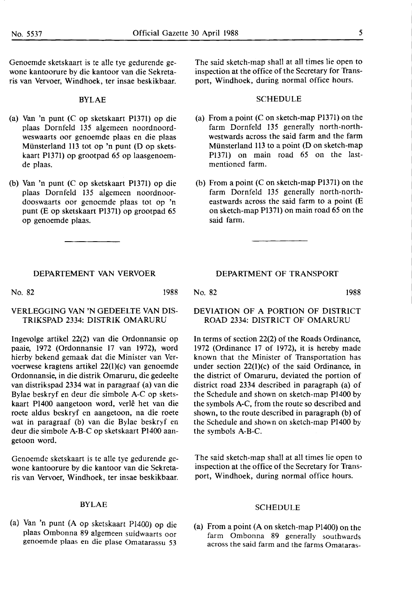Genoemde sketskaart is te alle tye gedurende gewone kantoorure by die kantoor van die Sekretaris van Vervoer, Windhoek, ter insae beskikbaar.

### BYLAE

- (a) Van 'n punt (C op sketskaart Pl371) op die plaas Dornfeld 135 algemeen noordnoordweswaarts oor genoemde plaas en die plaas Miinsterland 113 tot op 'n punt (D op sketskaart Pl371) op grootpad 65 op laasgenoemde plaas.
- (b) Van 'n punt (C op sketskaart P1371) op die plaas Dornfeld 135 algemeen noordnoordooswaarts oor genoemde plaas tot op 'n punt (E op sketskaart P1371) op grootpad *65*  op genoemde plaas.

DEPARTEMENT VAN VERVOER

No. 82 1988

### VERLEGGING **VAN 'N** GEDEELTE VAN DIS-**TRIKSPAD** 2334: **DISTRIK OMARURU**

Ingevolge artikel 22(2) van die Ordonnansie op paaie, 1972 (Ordonnansie 17 van 1972), word hierby bekend gemaak dat die Minister van Vervoerwese kragtens artikel 22(l)(c) van genoemde Ordonnansie, in die distrik Omaruru, die gedeelte van distrikspad 2334 wat in paragraaf (a) van die Bylae beskryf en deur die simbole A-C op sketskaart Pl400 aangetoon word, verle het van die roete aldus beskryf en aangetoon, na die roete wat in paragraaf (b) van die Bylae beskryf en deur die simbole A-B-C op sketskaart Pl400 aangetoon word.

Genoemde sketskaart is te alle tye gedurende gewone kantoorure by die kantoor van die Sekretaris van Vervoer, Windhoek, ter insae beskikbaar.

### BYLAE

(a) Van 'n punt (A op sketskaart Pl400) op die plaas Ombonna 89 algemeen suidwaarts oor genoemde plaas en die plase Omatarassu *53* 

The said sketch-map shall at all times lie open to inspection at the office of the Secretary for Transport, Windhoek, during normal office hours.

### SCHEDULE

- (a) From a point  $(C \text{ on sketch-map } P1371)$  on the farm Dornfeld 135 generally north-northwestwards across the said farm and the farm Münsterland 113 to a point  $(D \text{ on sketch-map})$ P1371) on main road *65* on the lastmentioned farm.
- (b) From a point  $(C \text{ on sketch-map } P1371)$  on the farm Dornfeld 135 generally north-northeastwards across the said farm to a point (E on sketch-map P1371) on main road *65* on the said farm.

DEPARTMENT OF TRANSPORT

No. 82 1988

### DEVIATION OF A PORTION OF DISTRICT ROAD 2334: DISTRICT OF OMARURU

In terms of section 22(2) of the Roads Ordinance, 1972 (Ordinance 17 of 1972), it is hereby made known that the Minister of Transportation has under section 22(l)(c) of the said Ordinance, in the district of Omaruru, deviated the portion of district road 2334 described in paragraph (a) of the Schedule and shown on sketch-map Pl400 by the symbols A-C, from the route so described and shown, to the route described in paragraph (b) of the Schedule and shown on sketch-map P1400 by the symbols A-B-C.

The said sketch-map shall at all times lie open to inspection at the office of the Secretary for Transport, Windhoek, during normal office hours.

### SCHEDULE

(a) From a point (A on sketch-map Pl400) on the farm Ombonna 89 generally southwards across the said farm and the farms Omataras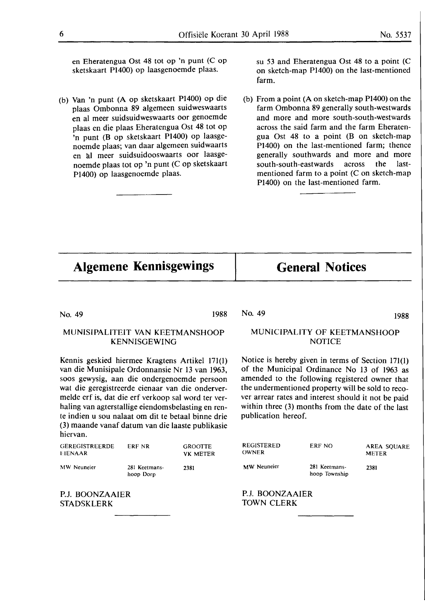en Eheratengua Ost 48 tot op 'n punt (C op sketskaart P1400) op Iaasgenoemde plaas.

(b) Van 'n punt (A op sketskaart P1400) op die plaas Ombonna 89 algemeen suidweswaarts en al meer suidsuidweswaarts oor genoemde plaas en die plaas Eheratengua Ost 48 tot op 'n punt (B op sketskaart P1400) op laasgenoemde plaas; van daar algemeen suidwaarts en al meer suidsuidooswaarts oor laasgenoemde plaas tot op 'n punt (C op sketskaart P1400) op laasgenoemde plaas.

su 53 and Eheratengua Ost 48 to a point (C on sketch-map P1400) on the last-mentioned farm.

(b) From a point **(A on** sketch-map P1400) on the farm Ombonna 89 generally south-westwards and more and more south-south-westwards across the said farm and the farm Eheratengua Ost 48 to **a** point (B on sketch-map Pl400) on the last-mentioned farm; thence generally southwards and more and more south-south-eastwards across the lastmentioned farm to a point (C on sketch-map Pl400) on the last-mentioned farm.

# **Algemene Kennisgewings**

## **General Notices**

No. 49 1988

No. 49 1988

### MUNISIPALITEIT VAN KEETMANSHOOP KENNISGEWING

Kennis geskied hiermee Kragtens Artikel 171(1) van die Munisipale Ordonnansie Nr 13 van 1963, soos gewysig, aan die ondergenoemde persoon wat die geregistreerde eienaar van die ondervermelde erf is, dat die erf verkoop sal word ter verhaling van agterstallige eiendomsbelasting en rente indien u sou nalaat om dit te betaal binne drie (3) maande vanaf datum van die laaste publikasie hiervan.

| <b>GEREGISTREERDE</b><br>EIENAAR | ERF NR        | <b>GROOTTE</b><br><b>VK METER</b> |  |
|----------------------------------|---------------|-----------------------------------|--|
| MW Neuneier                      | 281 Keetmans- | 2381                              |  |

MW Neuneier

hoop Dorp

P.J. BOONZAAIER STADSKLERK

### MUNICIPALITY OF KEETMANSHOOP **NOTICE**

Notice **is** hereby given in terms of Section 171(1) of the Municipal Ordinance No 13 of 1963 as amended to the following registered owner that the undermentioned property will be sold to recover arrear rates and interest should it not be paid within three (3) months from the date of the last publication hereof.

| REGISTERED<br>OWNER | ERF NO                         | AREA SOUARE<br><b>METER</b> |
|---------------------|--------------------------------|-----------------------------|
| <b>MW</b> Neuneier  | 281 Keetmans-<br>hoop Township | 2381                        |

P.J. BOONZAAIER TOWN CLERK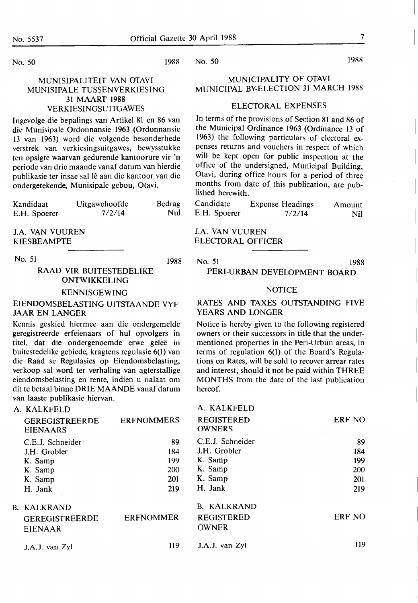### No. 50

### MUNISIPALITEIT **VAN OTAVI**  MUNISIPALE TUSSENVERKIESING 31 MAART 1988 VERKIESINGSUITGAWES

Ingevolge die bepalings van Artikel 81 en 86 van die Munisipale Ordonnansie 1963 (Ordonnansie 13 van 1963) word die volgende besonderhede verstrek van verkiesingsuitgawes, bewysstukke ten opsigte waarvan gedurende kantoorure vir 'n periode van drie maande vanaf datum van hierdie publikasie ter insae sal le aan die kantoor van die ondergetekende, Munisipale gebou, Otavi.

| Kandidaat    | Uitgawehoofde | Bedrag |
|--------------|---------------|--------|
| E.H. Spoerer | 7/2/14        | Nul    |

**J.A. VAN VUUREN**  KIESBEAMPTE

No. 51 1988

### RAAD VIR BUITESTEDELIKE ONTWIKKELING

### KENNISGEWING

### EIENDOMSBELASTING UITSTAANDE VYF JAAR EN LANGER

Kennis geskied hiermee aan die ondergemelde geregistreerde erfeienaars of hul opvolgers in titel, dat die ondergenoemde erwe geleë in buitestedelike gebiede, kragtens regulasie 6(1) van die Raad se Regulasies op Eiendomsbelasting, verkoop sal word ter verhaling van agterstallige eiendomsbelasting en rente, indien u nalaat om dit te betaal binne ORIE MAANDE vanaf datum van laaste publikasie hiervan.

### A. KALKFELD

| <b>GEREGISTREERDE</b><br><b>EIENAARS</b>                                     | <b>ERFNOMMERS</b>                     | <b>REGISTERED</b><br><b>OWNERS</b>                                           | ERF NO                                              |
|------------------------------------------------------------------------------|---------------------------------------|------------------------------------------------------------------------------|-----------------------------------------------------|
| C.E.J. Schneider<br>J.H. Grobler<br>K. Samp<br>K. Samp<br>K. Samp<br>H. Jank | 89<br>184<br>199<br>200<br>201<br>219 | C.E.J. Schneider<br>J.H. Grobler<br>K. Samp<br>K. Samp<br>K. Samp<br>H. Jank | 89<br>184<br>199<br><b>200</b><br><b>201</b><br>219 |
| <b>B. KALKRAND</b><br><b>GEREGISTREERDE</b><br><b>EIENAAR</b>                | <b>ERFNOMMER</b>                      | <b>B. KALKRAND</b><br><b>REGISTERED</b><br><b>OWNER</b>                      | <b>ERF NO</b>                                       |
| J.A.J. van Zyl                                                               | 119                                   | J.A.J. van Zyl                                                               | 119                                                 |

### MUNICIPALITY OF OTAVI MUNICIPAL BY-ELECTION 31 MARCH 1988

### ELECTORAL EXPENSES

In terms of the provisions of Section 81 and 86 of the Municipal Ordinance 1963 (Ordinance 13 of 1963) the following particulars of electoral expenses returns and vouchers in respect of which will be kept open for public inspection at the office of the undersigned, Municipal Building, Otavi, during office hours for a period of three months from date of this publication, are published herewith.

| Candidate    | <b>Expense Headings</b> | Amount |
|--------------|-------------------------|--------|
| E.H. Spoerer | 7/2/14                  | Nil    |

**J.A. VAN** VUUREN ELECTORAL OFFICER

No. 51 1988

### PERI-URBAN DEVELOPMENT BOARD

### **NOTICE**

### RATES AND TAXES OUTSTANDING FIVE YEARS AND LONGER

Notice is hereby given to the following registered owners or their successors in title that the undermentioned properties in the Peri-Urbun areas, in terms of regulation 6(1) of the Board's Regulations on Rates, will be sold to recover arrear rates and interest, should it not be paid within THREE MONTHS from the date of the last publication hereof.

# A. KALKFELD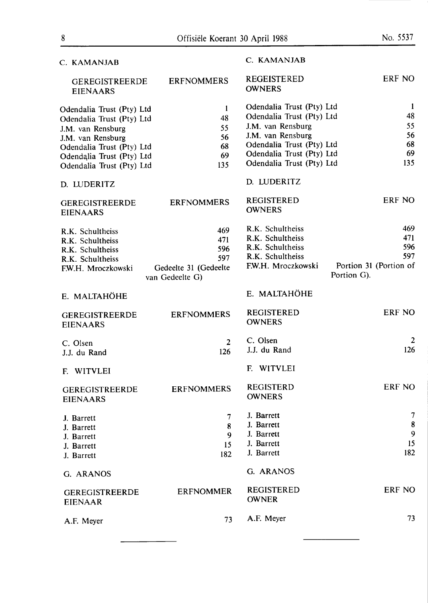| C. KAMANJAB                              |                                          | C. KAMANJAB                        |                                       |
|------------------------------------------|------------------------------------------|------------------------------------|---------------------------------------|
| <b>GEREGISTREERDE</b><br><b>EIENAARS</b> | <b>ERFNOMMERS</b>                        | REGEISTERED<br><b>OWNERS</b>       | ERF NO                                |
| Odendalia Trust (Pty) Ltd                | $\mathbf{1}$                             | Odendalia Trust (Pty) Ltd          | -1                                    |
| Odendalia Trust (Pty) Ltd                | 48                                       | Odendalia Trust (Pty) Ltd          | 48                                    |
| J.M. van Rensburg                        | 55                                       | J.M. van Rensburg                  | 55                                    |
| J.M. van Rensburg                        | 56                                       | J.M. van Rensburg                  | 56                                    |
| Odendalia Trust (Pty) Ltd                | 68                                       | Odendalia Trust (Pty) Ltd          | 68                                    |
| Odendalia Trust (Pty) Ltd                | 69                                       | Odendalia Trust (Pty) Ltd          | 69                                    |
| Odendalia Trust (Pty) Ltd                | 135                                      | Odendalia Trust (Pty) Ltd          | 135                                   |
| D. LUDERITZ                              |                                          | D. LUDERITZ                        |                                       |
| <b>GEREGISTREERDE</b><br><b>EIENAARS</b> | <b>ERFNOMMERS</b>                        | <b>REGISTERED</b><br><b>OWNERS</b> | ERF NO                                |
| R.K. Schultheiss                         | 469                                      | R.K. Schultheiss                   | 469                                   |
| R.K. Schultheiss                         | 471                                      | R.K. Schultheiss                   | 471                                   |
| R.K. Schultheiss                         | 596                                      | R.K. Schultheiss                   | 596                                   |
| R.K. Schultheiss                         | 597                                      | R.K. Schultheiss                   | 597                                   |
| F.W.H. Mroczkowski                       | Gedeelte 31 (Gedeelte<br>van Gedeelte G) | F.W.H. Mroczkowski                 | Portion 31 (Portion of<br>Portion G). |
| E. MALTAHÖHE                             |                                          | E. MALTAHÖHE                       |                                       |
| <b>GEREGISTREERDE</b><br><b>EIENAARS</b> | <b>ERFNOMMERS</b>                        | <b>REGISTERED</b><br><b>OWNERS</b> | ERF NO                                |
|                                          | 2 <sup>1</sup>                           | C. Olsen                           | 2                                     |
| C. Olsen                                 | 126                                      | J.J. du Rand                       | 126                                   |
| J.J. du Rand                             |                                          |                                    |                                       |
| F. WITVLEI                               |                                          | WITVLEI<br>F.                      |                                       |
| <b>GEREGISTREERDE</b><br><b>EIENAARS</b> | <b>ERFNOMMERS</b>                        | <b>REGISTERD</b><br><b>OWNERS</b>  | ERF NO                                |
| J. Barrett                               | $\overline{7}$                           | J. Barrett                         | 7                                     |
| J. Barrett                               | 8                                        | J. Barrett                         | $\boldsymbol{8}$                      |
| J. Barrett                               | 9                                        | J. Barrett                         | 9                                     |
| J. Barrett                               | 15                                       | J. Barrett                         | 15                                    |
| J. Barrett                               | 182                                      | J. Barrett                         | 182                                   |
| G. ARANOS                                |                                          | G. ARANOS                          |                                       |
| <b>GEREGISTREERDE</b><br><b>EIENAAR</b>  | <b>ERFNOMMER</b>                         | <b>REGISTERED</b><br><b>OWNER</b>  | ERF NO                                |
| A.F. Meyer                               | 73                                       | A.F. Meyer                         | 73                                    |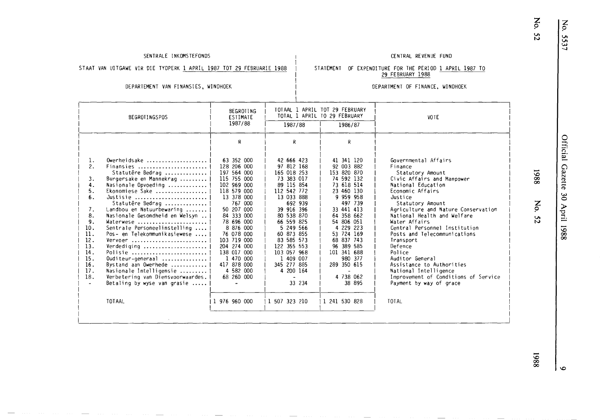$\times$   $\frac{1}{2}$ 

5537

### SENTRALE INKOMSTEFONDS CENTRAL REVENUE FUND

### STAAT VAN UITGAWE VIR DIE TYDPERK <u>1 APRIL 1987 TOT 29 FEBRUARIE 1988</u> (STATEMENT) OF EXPENDITURE FOR THE PERIOD <u>1 APRIL 1987 TO</u> 29 FEBRUARY 1988

### DEPARTEMENT VAN FINANSIES, WINDHOEK

### DEPARTMENT OF FINANCE, WINDHOEK

|                                                                                                                                                                                                                                                                                                                                                                                                                                                                                                                                                                                                                                  | TOTAAL 1 APRIL TOT 29 FEBRUARY<br>BEGROTING<br>TOTAL 1 APRIL TO 29 FEBRUARY<br>ESTIMATE<br>1987/88<br>1987/88<br>1986/87                                                                                                                                                                                      |                                                                                                                                                                                                                                                                                                                         | <b>VOTE</b>                                                                                                                                                                                                                                                                                      |                                                                                                                                                                                                                                                                                                                                                                                                                                                                                                           |
|----------------------------------------------------------------------------------------------------------------------------------------------------------------------------------------------------------------------------------------------------------------------------------------------------------------------------------------------------------------------------------------------------------------------------------------------------------------------------------------------------------------------------------------------------------------------------------------------------------------------------------|---------------------------------------------------------------------------------------------------------------------------------------------------------------------------------------------------------------------------------------------------------------------------------------------------------------|-------------------------------------------------------------------------------------------------------------------------------------------------------------------------------------------------------------------------------------------------------------------------------------------------------------------------|--------------------------------------------------------------------------------------------------------------------------------------------------------------------------------------------------------------------------------------------------------------------------------------------------|-----------------------------------------------------------------------------------------------------------------------------------------------------------------------------------------------------------------------------------------------------------------------------------------------------------------------------------------------------------------------------------------------------------------------------------------------------------------------------------------------------------|
| 1.<br>Owerheidsake<br>2.<br>Finansies<br>Statutêre Bedrag<br>3.<br>Burgersake en Mannekrag<br>4.<br>Nasionale Opvoeding<br>5.<br>Ekonomiese Sake<br>6.<br>Justisie<br>Statutêre Bedrag<br>7.<br>Landbou en Natuurbewaring<br>8.<br>Nasionale Gesondheid en Welsyn   <br>9.<br>Waterwese<br>10.<br>Sentrale Personeelinstelling<br>11.<br>Pos- en Telekommunikasiewese<br>12.<br>Vervoer<br>13.<br>Verdediging  <br>14.<br>Polisie<br>15.<br>Ouditeur-generaal<br>16.<br>Bystand aan Owerhede   <br>17.<br>Nasionale Intelligensie<br>18.<br>Verbetering van Diensvoorwaardes.<br>Betaling by wyse van grasie<br>$\sim$<br>TOTAAL | R<br>63 352 000<br>128 206 000<br>197 564 000<br>115 755 000<br>102 969 000<br>118 579 000<br>13 378 000<br>767 000<br>50 207 000<br>84 333 000<br>78 696 000<br>8 876 000<br>76 078 000<br>103 719 000<br>204 274 000<br>138 017 000<br>1 470 000<br>417 878 000<br>4 582 000<br>68 260 000<br>1 976 960 000 | R<br>42 666 423<br>97 812 168<br>165 018 253<br>73 383 017<br>89 115 854<br>112 542 772<br>13 033 888<br>692 939<br>39 916 396<br>80 538 870<br>66 559 825<br>5 249 566<br>60 873 855<br>83 585 573<br>122 355 553<br>103 057 968<br>1 409 007<br>345 277 885<br>4 200 164<br>$\blacksquare$<br>33 234<br>1 507 323 210 | R<br>41 341 120<br>92 003 882<br>153 820 870<br>74 592 132<br>73 618 514<br>23 460 130<br>9 959 958<br>497 739<br>33 441 413<br>64 358 662<br>54 806 051<br>4 229 223<br>53 724 169<br>68 837 743<br>96 389 585<br>101 341 688<br>980 377<br>289 350 615<br>4 738 062<br>38 895<br>1 241 530 828 | Governmental Affairs<br>Finance<br>Statutory Amount<br>Civic Affairs and Manpower<br>National Education<br>Economic Affairs<br>Justice<br>Statutory Amount<br>Agriculture and Nature Conservation<br>National Health and Welfare<br>Water Affairs<br>Central Personnel Institution<br>Posts and Telecommunications<br>Transport<br>Defence<br>Police<br>Auditor General<br>Assistance to Authorities<br>National Intelligence<br>Improvement of Conditions of Service<br>Payment by way of grace<br>TOTAL |

# **z 9 VI N**

-*\C)*  **00 00** 

 $\bullet$ 

I.Cl - **00 00**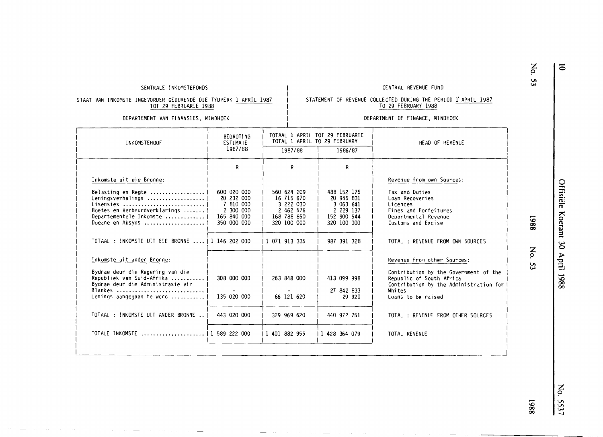### SENTRALE INKOMSTEFONDS THE REVENUE FUND OF THE REVENUE FUND CENTRAL REVENUE FUND

DEPARTMENT OF FINANCE, WINDHOEK

STATEMENT OF REVENUE COLLECTED DURING THE PERIOD 1 APRIL 1987 TO 29 FEBRUARY 1988

### STAAT VAN INKOMSTE INGEVORDER GEDURENDE DIE TYDPERK 1 APRIL 1987 TOT 29 FEBRUARIE 1988

### DEPARTEMENT VAN FINANSIES, WINDHOEK

### INKOMSTEHOOF Inkomste uit eie Bronne: Belasting en Regte ............•..... Leningsverhalings ..••..••..........• Lisensies .......................... . Boetes en Verbeurdverk l ari ngs ....... <sup>I</sup> Departementele Inkomste .................<br>Doeane en Aksyns ...................... **BEGROTING** ESTIMATE 1987/88 R 600 020 000 20 232 000 7 810 000 2 300 000 165 840 000 350 000 000 TOTAAL : INKOMSTE UIT ElE BRONNE ...• 1 146 202 000 Inkomste uit ander Bronne: Bydrae deur die Regering van die Republiek van Suid-Afrika ..........• 308 000 000 Bydrae deur die Administrasie vir Lenings aangegaan te word  $\dots\dots\dots$ ...... | 135 020 000 I I TOTAAL : INKOMSTE UIT ANDER BRONNE .. | 443 020 000 I I TOTALE INKOMSTE ..................... <sup>I</sup>1 589 222 000 I TOTAAL 1 APRIL TOT 29 FEBRUARIE TOTAL 1 APRIL TO 29 FEBRUARY 1987/88 | 1986/87 |<br>|1 071 913 335 R 560 624 209 16 715 670 3 222 030 2 **462** 576 168 788 850 320 100 000 I I I I I I 263 848 ooo I I I I I 66 121 620 I 329 969 620 I |<br>| 1 401 882 955  $\overline{\phantom{a}}$ |<br>|1 428 364 079 R 488 152 175 20 945 831 3 063 641 2 229 137 152 900 544 320 100 000 987 391 328 413 099 998 27 842 833 29 920 440 972 751  $\overline{\phantom{a}}$ HEAD OF REVENUE Revenue from own Sources: Tax and Duties Loan Recoveries Licences Fines and Forfeitures Departmental Revenue Customs and Excise TOTAL : REVENUE FROM OWN SOURCES Revenue from other Sources: I I I I I I I I I I I I I I I I I I Contribution by the Government of the | I Republic of South Africa Contribution by the Administration for I Whites Loans to be raised TOTAL : REVENUE FROM OTHER SOURCES TOTAL REVENUE I I I I I I I I I

# **z**  *9*   $\mathbf{v}$

-**0** 

-**l,C) 00 00** 

**z**  *9* 

**VI**  ~

z *9*  **Vt Vt**  *\;.)*  --.I

**l,C)**  - **00 00** 

I I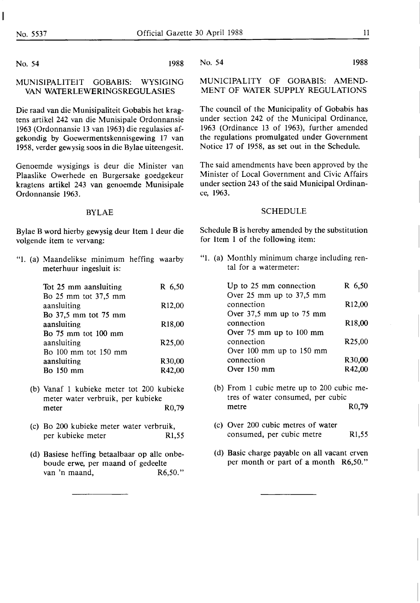No. 54 1988

### **MUNISIPALITEIT GOBABIS: WYSIGING**  VAN WATERLEWERINGSREGULASIES

Die raad van die Munisipaliteit Gobabis bet kragtens artikel 242 van die Munisipale Ordonnansie 1963 (Ordonnansie 13 van 1963) die regulasies afgekondig by Goewermentskennisgewing 17 van 1958, verder gewysig soos in die Bylae uiteengesit.

Genoemde wysigings is deur die Minister van Plaaslike Owerhede en Burgersake goedgekeur kragtens artikel 243 van genoemde Munisipale Ordonnansie 1963.

### BYLAE

Bylae B word hierby gewysig deur Item 1 deur die volgende item te vervang:

"I. (a) Maandelikse minimum heffing waarby meterhuur ingesluit is:

| Tot 25 mm aansluiting      | R 6,50              |
|----------------------------|---------------------|
| Bo 25 mm tot 37,5 mm       |                     |
| aansluiting                | R <sub>12</sub> ,00 |
| Bo 37,5 mm tot 75 mm       |                     |
| aansluiting                | R18,00              |
| <b>Bo</b> 75 mm tot 100 mm |                     |
| aansluiting                | R <sub>25</sub> ,00 |
| Bo 100 mm tot 150 mm       |                     |
| aansluiting                | R30,00              |
| <b>Bo</b> 150 mm           | R42,00              |

- (b) Vanaf 1 kubieke meter tot 200 kubieke meter water verbruik, per kubieke meter R0,79
- (c) Bo 200 kubieke meter water verbruik, per kubieke meter Rl,55
- (d) Basiese heffing betaalbaar op alle onbeboude erwe, per maand of gedeelte van 'n maand, R6,50."

No. 54 1988

MUNICIPALITY OF GOBABIS: AMEND-MENT OF **WATER** SUPPLY REGULATIONS

The council of the Municipality of Gobabis has under section 242 of the Municipal Ordinance, 1963 (Ordinance 13 of 1963), further amended the regulations promulgated under Government Notice 17 of 1958, as set out in the Schedule.

The said amendments have been approved by the Minister of Local Government and Civic Affairs under section 243 of the said Municipal Ordinance, 1963.

### SCHEDULE

Schedule B is hereby amended by the substitution for Item 1 of the following item:

"1. (a) Monthly minimum charge including rental for a watermeter:

| Up to 25 mm connection   | R 6,50              |
|--------------------------|---------------------|
| Over 25 mm up to 37,5 mm |                     |
| connection               | R <sub>12</sub> ,00 |
| Over 37,5 mm up to 75 mm |                     |
| connection               | R <sub>18</sub> ,00 |
| Over 75 mm up to 100 mm  |                     |
| connection               | R <sub>25</sub> ,00 |
| Over 100 mm up to 150 mm |                     |
| connection               | R30,00              |
| Over $150 \text{ mm}$    | R42,00              |
|                          |                     |

- (b) From 1 cubic metre up to 200 cubic metres of water consumed, per cubic metre R0,79
- (c) Over 200 cubic metres of water consumed, per cubic metre Rl,55
- (d) Basic charge payable on all vacant erven per month or part of a month R6,50."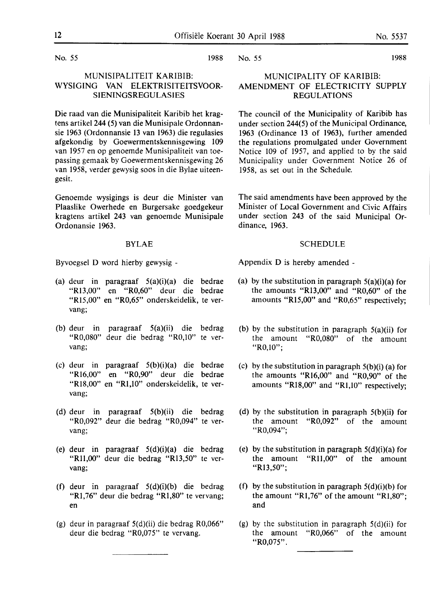No. *55* 1988

### MUNISIPALITEIT **KARIBIB: WYSIGING VAN ELEKTRISITEITSVOOR-SIENINGSREGULASIES**

Die raad van die Munisipaliteit Karibib het kragtens artikel 244 (5) van die Munisipale Ordonnansie 1963 (Ordonnansie 13 van 1963) die regulasies af gekondig by Goewermentskennisgewing 109 van 1957 en op genoemde Munisipaliteit van toepassing gemaak by Goewermentskennisgewing 26 van **1958,** verder gewysig soos in die Bylae uiteengesit.

Genoemde wysigings is deur die Minister van Plaaslike Owerhede en Burgersake goedgekeur kragtens artikel 243 van genoemde Munisipale Ordonansie 1963.

### **BYLAE**

Byvoegsel D word hierby gewysig -

- (a) deur in paragraaf 5(a)(i)(a) die bedrae "Rl3,00" en "R0,60" deur die bedrae "Rl5,00" en "R0,65" onderskeidelik, te vervang;
- (b) deur in paragraaf 5(a)(ii) die bedrag "R0,080" deur die bedrag "R0,10" te vervang;
- (c) deur in paragraaf 5(b)(i)(a) die bedrae "Rl6,00" en "R0,90" deur die bedrae "Rl8,00" en "Rl,10" onderskeidelik, te vervang;
- (d) deur in paragraaf 5(b)(ii) die bedrag "R0,092" deur die bedrag "R0,094" te vervang;
- (e) deur in paragraaf 5(d)(i)(a) die bedrag "Rll,00" deur die bedrag "Rl3,50" te vervang;
- (f) deur in paragraaf 5(d)(i)(b) die bedrag "Rl,76" deur die bedrag "Rl,80" te vervang; en
- (g) deur in paragraaf 5(d)(ii) die bedrag R0,066" deur die bedrag "R0,075" te vervang.

No. 55 1988

### MUNICIPALITY OF **KARIBIB: AMENDMENT** OF **ELECTRICITY SUPPLY REGULATIONS**

The council of the Municipality of Karibib has under section 244(5) of the Municipal Ordinance, 1963 (Ordinance 13 of 1963), further amended the regulations promulgated under Government Notice 109 of 1957, and applied to by the said Municipality under Government Notice 26 of **1958,** as set out in the Schedule.

The said amendments have been approved by the Minister of Local Government and Civic Affairs under section 243 of the said Municipal Ordinance, 1963.

### SCHEDULE

Appendix D is hereby amended -

- (a) by the substitution in paragraph  $5(a)(i)(a)$  for the amounts "R13,00" and "R0,60" of the amounts "Rl5,00" and "R0,65" respectively;
- (b) by the substitution in paragraph  $5(a)(ii)$  for the amount "R0,080" of the amount "R0,10";
- (c) by the substitution in paragraph  $5(b)(i)$  (a) for the amounts "Rl6,00" and "R0,90" of the amounts "Rl8,00" and "Rl,10" respectively;
- (d) by the substitution in paragraph 5(b)(ii) for the amount "R0,092" of the amount "R0,094";
- (e) by the substitution in paragraph  $5(d)(i)(a)$  for the amount **"Rll,00"** of the amount **"R13,50";**
- (f) by the substitution in paragraph  $5(d)(i)(b)$  for the amount "R1,76" of the amount "R1,80"; and
- (g) by the substitution in paragraph  $5(d)(ii)$  for the amount "R0,066" of the amount "R0,075".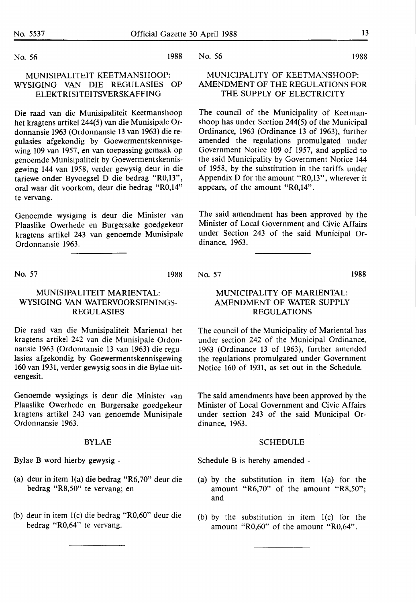No. 56 1988

### **MUNISIPALITEIT KEETMANSHOOP: WYSIGING VAN** DIE **REGULASIES OP ELEKTRISITEITSVERSKAFFING**

Die raad van die Munisipaliteit Keetmanshoop het kragtens artikel 244(5) van die Munisipale Ordonnansie 1963 (Ordonnansie 13 van 1963) die regulasies afgekondig by Goewermentskennisgewing 109 van 1957, en van toepassing gemaak op genoemde Munisipaliteit by Goewermentskennisgewing 144 van 1958, verder gewysig deur in die tariewe onder Byvoegsel D die bedrag "R0,13", oral waar dit voorkom, deur die bedrag "R0,14" te vervang.

Genoemde wysiging is deur die Minister van Plaaslike Owerhede en Burgersake goedgekeur kragtens artikel 243 van genoemde Munisipale Ordonnansie **1963.** 

No. 57 1988

### No. 57

dinance, 1963.

1988

### MUNICIPALITY OF MARIENTAL: AMENDMENT OF WATER SUPPLY REGULATIONS

The council of the Municipality of Mariental has under section 242 of the Municipal Ordinance, 1963 (Ordinance 13 of 1963), further amended the regulations promulgated under Government Notice 160 of 1931, as set out in the Schedule.

The said amendments have been approved by the Minister of Local Government and Civic Affairs under section 243 of the said Municipal Ordinance, 1963.

### SCHEDULE

Schedule B is hereby amended -

- (a) by the substitution in item l(a) for the amount "R6,70" of the amount "R8,50"; and
- (b) by the substitution in item l(c) for the amount "R0,60" of the amount "R0,64".

### MUNISIPALITEIT MARIENTAL: WYSIGING VAN WATERVOORSIENINGS-REGULASIES

Die raad van die Munisipaliteit Mariental het kragtens artikel 242 van die Munisipale Ordonnansie 1963 (Ordonnansie 13 van 1963) die regulasies afgekondig by Goewermentskennisgewing 160 van 1931, verder gewysig soos in die Bylae uiteengesit.

Genoemde wysigings is deur die Minister van Plaaslike Owerhede en Burgersake goedgekeur kragtens artikel 243 van genoemde Munisipale Ordonnansie 1963.

### BYLAE

Bylae B word hierby gewysig -

- (a) deur in item l(a) die bedrag "R6,70" deur die bedrag "R8,50" te vervang; en
- (b) deur in item l(c) die bedrag "R0,60" deur die bedrag "R0,64" te vervang.

No. 56 1988

### MUNICIPALITY OF KEETMANSHOOP: AMENDMENT OF THE REGULATIONS FOR THE SUPPLY OF ELECTRICITY

The council of the Municipality of Keetmanshoop has under Section 244(5) of the Municipal Ordinance, 1963 (Ordinance 13 of 1963), further amended the regulations promulgated under Government Notice 109 of 1957, and applied to the said Municipality by Government Notice 144 of 1958, by the substitution in the tariffs under Appendix D for the amount **"R0,13",** wherever it appears, of the amount "R0,14".

The said amendment has been approved by the Minister of Local Government and Civic Affairs under Section 243 of the said Municipal Or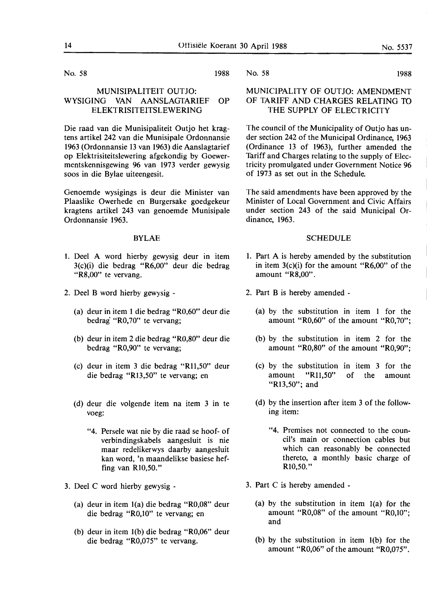No. 58 1988

### MUNISIPALITEIT OUTJO: **WYSIGING VAN AANSLAGTARIEF OP**  ELEKTRISITEITSLEWERING

Die raad van die Munisipaliteit Outjo het kragtens artikel 242 van die Munisipale Ordonnansie 1963 (Ordonnansie 13 van 1963) die Aanslagtarief op Elektrisiteitslewering af gekondig by Goewermentskennisgewing 96 van 1973 verder gewysig soos in die Bylae uiteengesit.

Genoemde wysigings is deur die Minister van Plaaslike Owerhede en Burgersake goedgekeur kragtens artikel 243 van genoemde Munisipale Ordonnansie 1963.

### BYLAE

- 1. Deel A word hierby gewysig deur in item 3(c)(i) die bedrag "R6,00" deur die bedrag "R8,00" te vervang.
- 2. Deel B word hierby gewysig
	- (a) deur in item 1 die bedrag "R0,60" deur die bedrag "R0,70" te vervang;
	- (b) deur in item 2 die bedrag "R0,80" deur die bedrag "R0,90" te vervang;
	- (c) deur in item 3 die bedrag "Rll,50" deur die bedrag "R13,50" te vervang; en
	- (d) deur die volgende item na item 3 in te voeg:
		- "4. Persele wat nie by die raad se hoof- of verbindingskabels aangesluit is nie maar redelikerwys daarby aangesluit kan word, 'n maandelikse basiese heffing van RI0,50."
- 3. Deel C word hierby gewysig
	- (a) deur in item l(a) die bedrag "R0,08" deur die bedrag "R0,10" te vervang; en
	- (b) deur in item l(b) die bedrag "R0,06" deur die bedrag "R0,075" te vervang.

No. 58 1988

### MUNICIPALITY OF OUTJO: AMENDMENT OF **TARIFF AND CHARGES RELATING** 10 THE SUPPLY OF ELECTRICITY

The council of the Municipality of Outjo has under section 242 of the Municipal Ordinance, 1963 (Ordinance 13 of 1963), further amended the Tariff and Charges relating to the supply of Electricity promulgated under Government Notice 96 of 1973 as set out in the Schedule.

The said amendments have been approved by the Minister of Local Government and Civic Affairs under section 243 of the said Municipal Ordinance, 1963.

### SCHEDULE

- 1. Part A is hereby amended by the substitution in item  $3(c)(i)$  for the amount "R6,00" of the amount "R8,00".
- 2. Part B is hereby amended
	- (a) by the substitution in item 1 for the amount "R0,60" of the amount "R0,70";
	- (b) by the substitution in item 2 for the amount **"R0,80"** of the amount **"R0,90";**
	- **(c) by the substitution in item 3 for the**  amount **"Rll,50"** of the amount **"Rl3,50"; and**
	- (d) by the insertion after item 3 of the following item:
		- "4. Premises not connected to the council's main or connection cables but which can reasonably be connected thereto, a monthly basic charge of RI0,50."
- 3. Part C is hereby amended
	- (a) by the substitution in item l(a) for the amount "R0,08" of the amount "R0,10"; and
	- (b) by the substitution in item l(b) for the amount "R0,06" of the amount "R0,075".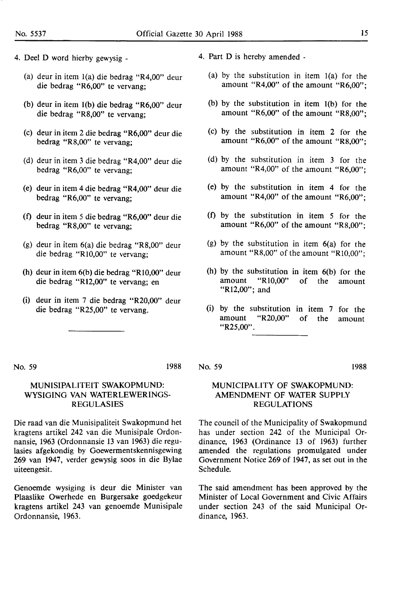- 4. Deel D word hierby gewysig
	- (a) deur in item l(a) die bedrag "R4,00" deur die bedrag "R6,00" te vervang;
	- (b) deur in item l(b) die bedrag "R6,00" deur die bedrag "R8,00" te vervang;
	- (c) deur in item 2 die bedrag "R6,00" deur die bedrag **"R8,00"** te vervang;
	- (d) deur in item 3 die bedrag **"R4,00"** deur die bedrag **"R6,00"** te vervang;
	- (e) deur in item 4 die bedrag **"R4,00"** deur die bedrag **"R6,00"** te vervang;
	- (t) deur in item 5 die bedrag "R6,00" deur die bedrag "R8,00" te vervang;
	- (g) deur in item 6(a) die bedrag "R8,00" deur die bedrag "Rl0,00" te vervang;
	- (h) deur in item 6(b) die bedrag "Rl0,00" deur die bedrag "Rl2,00" te vervang; en
	- (i) deur in item 7 die bedrag "R20,00" deur die bedrag "R25,00" te vervang.
- 4. Part D is hereby amended
	- (a) by the substitution in item l(a) for the amount "R4,00" of the amount "R6,00";
	- (b) by the substitution in item l(b) for the amount "R6,00" of the amount "R8,00";
	- (c) by the substitution in item 2 for the amount "R6,00" of the amount "R8,00";
	- (d) by the substitution in item 3 for the amount **"R4,00"** of the amount **"R6,00";**
	- (e) by the substitution in item 4 for the amount **"R4,00"** of the amount **"R6,00";**
	- (t) by the substitution in item 5 for the amount "R6,00" of the amount "R8,00";
	- (g) by the substitution in item **6(a)** for the amount **"R8,00"** of the amount **"Rl0,00";**
	- (h) by the substitution in item 6(b) for the amount "Rl0,00" of the amount "Rl2,00"; and
	- (i) by the substitution in item 7 for the amount "R20,00" of the amount **"R25,00".**

No. 59 1988

### MUNISIPALITEIT SWAKOPMUND: WYSIGING VAN WATERLEWERINGS-REGULASIES

Die raad van die Munisipaliteit Swakopmund het kragtens artikel 242 van die Munisipale Ordonnansie, 1963 (Ordonnansie 13 van 1963) die regulasies afgekondig by Goewermentskennisgewing 269 van 1947, verder gewysig soos in die Bylae uiteengesit.

Genoemde wysiging is deur die Minister van Plaaslike Owerhede en Burgersake goedgekeur kragtens artikel 243 van genoemde Munisipale Ordonnansie, **1963.** 

No. 59 1988

### MUNICIPALITY OF SWAKOPMUND: AMENDMENT OF WATER SUPPLY REGULATIONS

The council of the Municipality of Swakopmund has under section 242 of the Municipal Ordinance, **1963** (Ordinance 13 of **1963)** further amended the regulations promulgated under Government Notice 269 of 1947, as set out in the Schedule.

The said amendment has been approved by the Minister of Local Government and Civic Affairs under section 243 of the said Municipal Ordinance, 1963.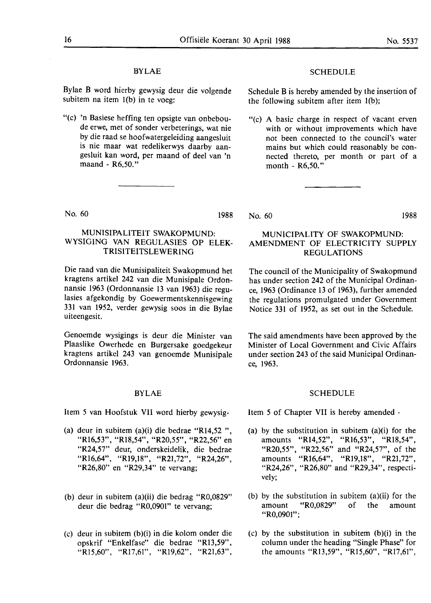### BYLAE

Bylae B word hierby gewysig deur die volgende subitem na item I(b) in te voeg:

"(c) 'n Basiese heffing ten opsigte van onbeboude erwe, met of sonder verbeterings, wat nie by die raad se hoofwatergeleiding aangesluit is **nie** maar wat redelikerwys daarby aangesluit kan word, per maand of deel van 'n maand - R6,50."

### No. 60 1988

### MUNISIPALITEIT SWAKOPMUND: WYSIGING VAN REGULASIES OP ELEK-TRISITEITSLEWERING

Die raad van die Munisipaliteit Swakopmund het kragtens artikel 242 van die Munisipale Ordonnansie 1963 (Ordonnansie 13 van 1963) die regulasies afgekondig by Goewermentskennisgewing 331 van 1952, verder gewysig soos in die Bylae uiteengesit.

Genoemde wysigings is deur die Minister van Plaaslike Owerhede en Burgersake goedgekeur kragtens artikel 243 van genoemde Munisipale Ordonnansie 1963.

### BYLAE

Item 5 van Hoofstuk VII word hierby gewysig-

- (a) deur in subitem (a)(i) die bedrae "Rl4,52 ", "Rl6,53", "Rl8,54", "R20,55", "R22,56" en "R24,57" deur, onderskeidelik, die bedrae "Rl6,64", "Rl9,18", "R21,72", "R24,26", "R26,80" en "R29,34" te vervang;
- (b) deur in subitem (a)(ii) die bedrag "R0,0829" deur die bedrag "R0,0901" te vervang;
- (c) deur in subitem (b)(i) in die kolom onder die opskrif "Enkelfase" die bedrae "Rl3,59", "Rl5,60", "Rl7,61", "Rl9,62", "R21,63",

### **SCHEDULE**

Schedule B is hereby amended by the insertion of the following subitem after item I(b);

"(c) A basic charge in respect of vacant erven with or without improvements which have not been connected to the council's water mains but which could reasonably be connected thereto, per month or part of a month - R6,50."

No. 60 1988

### MUNICIPALITY OF SWAKOPMUND: AMENDMENT OF ELECTRICITY SUPPLY REGULATIONS

The council of the Municipality of Swakopmund has under section 242 of the Municipal Ordinance, 1963 (Ordinance 13 of 1963), further amended the regulations promulgated under Government Notice 331 of **1952,** as set out in the Schedule.

The said amendments have been approved by the Minister of Local Government and Civic Affairs under section 243 of the said Municipal Ordinance, 1963.

### SCHEDULE

Item 5 of Chapter VII is hereby amended -

- (a) by the substitution in subitem (a)(i) for the amounts "Rl4,52", "Rl6,53", "Rl8,54", "R20,55", "R22,56" and "R24,57", of the amounts "Rl6,64", "Rl9,18", "R21,72", "R24,26", "R26,80" and "R29,34", respectively;
- (b) by the substitution in subitem (a)(ii) for the amount "R0,0829" of the amount "R0,0901";
- (c) by the substitution in subitem (b)(i) in the column under the heading "Single Phase" for the amounts "Rl3,59", "Rl5,60", "Rl7,61",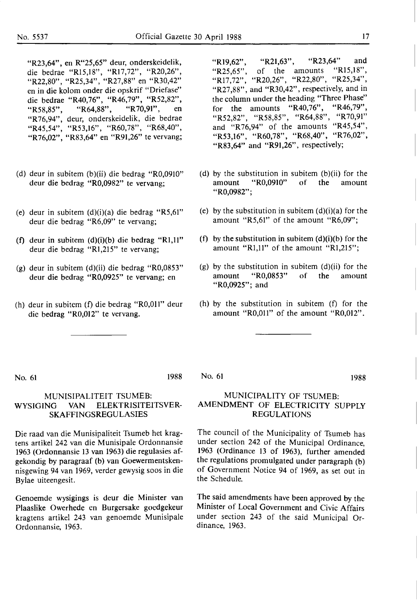"R23,64", en R"25,65" deur, onderskeidelik, die bedrae "R15,18", "R17,72", "R20,26", "R22,80", "R25,34", "R27,88" en "R30,42" en in die kolom onder die opskrif "Driefase'' die bedrae "R40,76", "R46,79", "R52,82",<br>"R58.85". "R64,88", "R70,91", en "R58,85", "R64,88", "R70,91", en ''R76,94", deur, onderskeidelik, die bedrae "R45,54", "R53,16", "R60,78", "R68,40", "R76,02", "R83,64" en "R91,26" te vervang;

- (d) deur in subitem (b)(ii) die bedrag "R0,0910" deur die bedrag "R0,0982" te vervang;
- (e) deur in subitem (d)(i)(a) die bedrag **"R5,61"**  deur die bedrag "R6,09" te vervang;
- (f) deur in subitem (d)(i)(b) die bedrag "Rl,11" deur die bedrag "Rl,215" te vervang;
- (g) deur in subitem (d)(ii) die bedrag **"R0,0853"**  deur die bedrag "R0,0925" te vervang; en
- (h) deur in subitem (f) die bedrag "R0,011" deur die bedrag "R0,012" te vervang.

"R<sub>19</sub>,62", "R<sub>21</sub>,63", "R<sub>23</sub>,64" and<br>"R<sub>25</sub> 65" of the amounts "R<sub>15</sub>,18", "R25.65", of the amounts "R17,72", "R20,26", "R22,80", "R25,34", "R27,88", and "R30,42", respectively, and in the column under the heading "Three Phase" for the amounts "R40,76", "R46,79", "R52,82", "R58,85", "R64,88", "R70,91" and "R76,94" of the amounts "R45,54", "R53,16", "R60,78", "R68,40", "R76,02", "R83,64" and "R91,26", respectively;

- (d) by the substitution in subitem (b)(ii) for the amount "R0,0910" of the amount "R0,0982";
- (e) by the substitution in subitem  $(d)(i)(a)$  for the amount **"R5,61"** of the amount **"R6,09";**
- (f) by the substitution in subitem  $(d)(i)(b)$  for the amount **"Rl,11"** of the amount **"Rl,215";**
- (g) by the substitution in subitem  $(d)(ii)$  for the amount "R0,0853" of the amount "R0,0925"; and
- (h) by the substitution in subitem (f) for the amount **"R0,011"** of the amount "R0,012".

No. 61 1988

### MUNISIPALITEIT TSUMEB: WYSIGING VAN ELEKTRISITEITSVER-SKAFFINGSREGULASIES

Die raad van die Munisipaliteit Tsumeb bet kragtens artikel 242 van die Munisipale Ordonnansie 1963 (Ordonnansie 13 van 1963) die regulasies afgekondig by paragraaf (b) van Goewermentskennisgewing 94 van 1969, verder gewysig soos in die Bylae uiteengesit.

Genoemde wysigings is deur die Minister van Plaaslike Owerhede en Burgersake goedgekeur kragtens artikel 243 van genoemde Munisipale Ordonnansie, 1963.

No. 61 1988

### MUNICIPALITY OF TSUMEB: AMENDMENT OF ELECTRICITY SUPPLY REGULATIONS

The council of the Municipality of Tsumeb has under section 242 of the Municipal Ordinance, 1963 (Ordinance 13 of 1963), further amended the regulations promulgated under paragraph (b) of Government Notice 94 of 1969, as set out in the Schedule.

The said amendments have been approved by the Minister of Local Government and Civic Affairs under section 243 of the said Municipal Ordinance, **1963.**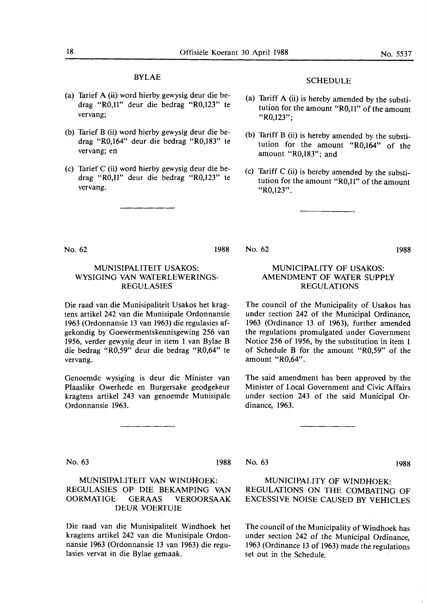### BYLAE

- (a) Tarief A (ii) word hierby gewysig deur die bedrag "R0,11" deur die bedrag "R0,123" te vervang;
- (b) Tarief B (ii) word hierby gewysig deur die bedrag "R0,164" deur die bedrag "R0,183" te vervang; en
- (c) Tarief C (ii) word hierby gewysig deur die bedrag "R0,11" deur die bedrag "R0,123" te vervang.

### SCHEDULE

- (a) Tariff A (ii) is hereby amended by the substitution for the amount "R0,11" of the amount "R0,123";
- (b) Tariff B (ii) is hereby amended by the substitution for the amount "R0,164" of the amount "R0,183"; and
- (c) Tariff C (ii) is hereby amended by the substitution for the amount "R0,11" of the amount "R0,123".

No. 62 1988

### **MUNISIPALITEIT USAKOS: WYSIGING VAN WATERLEWERINGS-**REGULASIES

Die raad van die Munisipaliteit Usakos bet kragtens artikel 242 van die Munisipale Ordonnansie 1963 (Ordonnansie 13 van 1963) die regulasies afgekondig by Goewermentskennisgewing 256 van 1956, verder gewysig deur in item 1 van Bylae B die bedrag "R0,59" deur die bedrag "R0,64" te vervang.

Genoemde wysiging is deur die Minister van Plaaslike Owerhede en Burgersake geodgekeur kragtens artikel 243 van genoemde Munisipale Ordonnansie 1963.

### MUNICIPALITY OF USAKOS: AMENDMENT OF WATER SUPPLY REGULATIONS

The council of the Municipality of Usakos has under section 242 of the Municipal Ordinance, 1963 (Ordinance 13 of 1963), further amended the regulations promulgated under Government Notice 256 of 1956, by the substitution in item 1 of Schedule B for the amount "R0,59" of the amount "R0,64".

The said amendment has been approved by the Minister of Local Government and Civic Affairs under section 243 of the said Municipal Ordinance, 1963.

No. 63 1988

### MUNISIPALITEIT VAN WINDHOEK: REGULASIES OP DIE BEKAMPING VAN OORMATIGE GERAAS VEROORSAAK DEUR VOERTUIE

Die raad van die Munisipaliteit Windhoek bet kragtens artikel 242 van ·die Munisipale Ordonnansie 1963 (Ordonnansie 13 van 1963) die regulasies vervat in die Bylae gemaak.

No. 63 1988

No. 62

### MUNICIPALITY OF WINDHOEK: REGULATIONS ON THE COMBATING OF EXCESSIVE NOISE CAUSED BY VEHICLES

The council of the Municipality of Windhoek has under section 242 of the Municipal Ordinance, 1963 (Ordinance 13 of 1963) made the regulations set out in the Schedule.

**1988**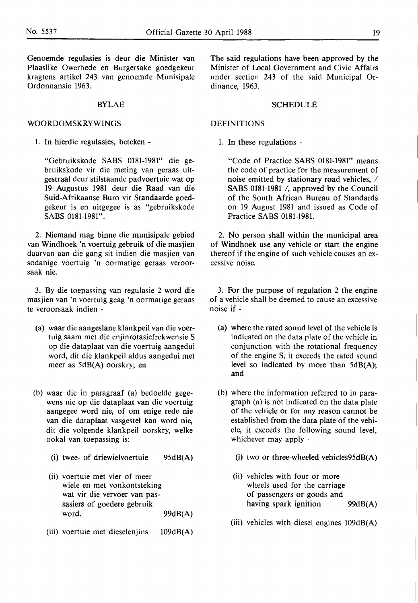Genoemde regulasies is deur die Minister van Plaaslike Owerhede en Burgersake goedgekeur kragtens artikel 243 van genoemde Munisipale Ordonnansie 1963.

### BYLAE

### WOORDOMSKRYWINGS

1. In hierdie regulasies, beteken -

"Gebruikskode SABS 0181-1981" die gebruikskode vir die meting van geraas uitgestraal deur stilstaande padvoertuie wat op 19 Augustus 1981 deur die Raad van die Suid-Afrikaanse Buro vir Standaarde goedgekeur is en uitgegee is as "gebruikskode SABS 0181-1981".

2. Niemand mag binne die munisipale gebied van Windhoek 'n voertuig gebruik of die masjien daarvan aan die gang sit indien die masjien van sodanige voertuig 'n oormatige geraas veroorsaak nie.

3. By die toepassing van regulasie 2 word die masjien van 'n voertuig geag 'n oormatige geraas te veroorsaak indien -

- (a) waar die aangeslane klankpeil van die voertuig saam met die enjinrotasiefrekwensie S op die dataplaat van die voertuig aangedui word, dit die klankpeil aldus aangedui met meer as 5dB(A) oorskry; en
- (b) waar die in paragraaf (a) bedoelde gegewens nie op die dataplaat van die voertuig aangegee word nie, of om enige rede nie van die dataplaat vasgestel kan word nie, dit die volgende klankpeil oorskry, welke ookal van toepassing is:
	- (i) twee- of driewielvoertuie 95dB(A)
	- (ii) voertuie met vier of meer wiele en met vonkontsteking wat vir die vervoer van passasiers of goedere gebruik word. 99dB(A)
	- (iii) voertuie met dieselenjins 109dB(A)

The said regulations have been approved by the Minister of Local Government and Civic Affairs under section 243 of the said Municipal Ordinance, 1963.

### SCHEDULE

### DEFINITIONS

1. In these regulations -

"Code of Practice SABS 0181-1981" means the code of practice for the measurement of noise emitted by stationary road vehicles, / SABS 0181-1981 /, approved by the Council of the South African Bureau of Standards on 19 August 1981 and issued as Code of Practice **SABS 0181-1981.** 

2. No person shall within the municipal area of Windhoek use any vehicle or start the engine thereof if the engine of such vehicle causes an excessive noise.

3. For the purpose of regulation 2 the engine of a vehicle shall be deemed to cause an excessive noise if -

- (a) where the rated sound level of the vehicle is indicated on the data plate of the vehicle in conjunction with the rotational frequency of the engine S, it exceeds the rated sound level so indicated by more than 5dB(A); and
- (b) where the information referred to in paragraph (a) is not indicated on the data plate of the vehicle or for any reason cannot be established from the data plate of the vehicle, it exceeds the following sound level, whichever may apply -
	- (i) two or three-wheeled vehicles95dB(A)
	- (ii) vehicles with four or more wheels used for the carriage of passengers or goods and having spark ignition 99dB(A)
	- (iii) vehicles with diesel engines  $109dB(A)$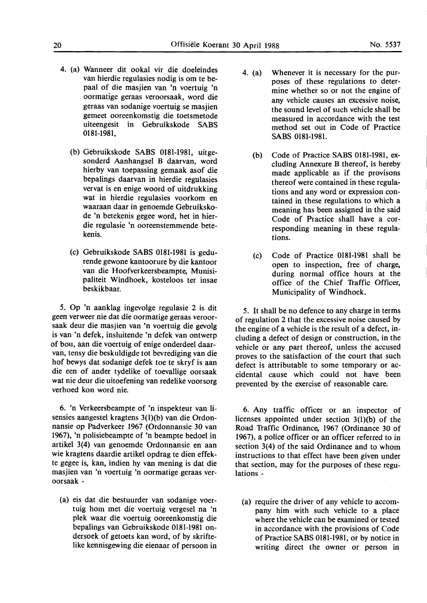- 4. (a) Wanneer dit ookal vir die doeleindes van hierdie regulasies nodig is om te bepaal of die masjien van 'n voertuig 'n oormatige geraas veroorsaak, word die geraas van sodanige voertuig se masjien gemeet ooreenkomstig die toetsmetode uiteengesit in Gebruikskode SABS 0181-1981,
	- (b) Gebruikskode SABS 0181-1981, uitgesonderd Aanhangsel B daarvan, word hierby van toepassing gemaak asof die bepalings daarvan in hierdie regulasies vervat is en enige woord of uitdrukking wat in hierdie regulasies voorkom en waaraan daar in genoemde Gebruikskode 'n betekenis gegee word, bet in bierdie regulasie 'n ooreenstemmende betekenis.
	- (c) Gebruikskode SABS 0181-1981 is gedurende gewone kantoorure by die kantoor van die Hoofverkeersbeampte, Munisipaliteit Windhoek, kosteloos ter insae beskikbaar.

5. Op 'n aanklag ingevolge regulasie 2 is dit geen verweer nie dat die oormatige geraas veroorsaak deur die masjien van 'n voertuig die gevolg is van 'n defek, insluitende 'n defek van ontwerp of bou, aan die voertuig of enige onderdeel daarvan, tensy die beskuldigde tot bevrediging van die hof bewys dat sodanige defek toe te skryf is aan die een of ander tydelike of toevallige oorsaak wat nie deur die uitoefening van redelike voorsorg verhoed kon word nie.

6. 'n Verkeersbeampte of 'n inspekteur van lisensies aangestel kragtens 3(l)(b) van die Ordonnansie op Padverkeer 1967 (Ordonnansie 30 van 1967), 'n polisiebeampte of 'n beampte bedoel in artikel 3(4) van genoemde Ordonnansie en aan wie kragtens daardie artikel opdrag te dien effekte gegee is, kan, indien hy van mening is dat die masjien van 'n voertuig 'n oormatige geraas veroorsaak -

(a) eis dat die bestuurder van sodanige voertuig horn met die voertuig vergesel na 'n plek waar die voertuig ooreenkomstig die bepalings van Gebruikskode 0181-1981 ondersoek of getoets kan word, of by skriftelike kennisgewing die eienaar of persoon in

- 4. (a) Whenever it is necessary for the purposes of these regulations to determine whether so or not the engine of any vehicle causes an excessive noise, the sound level of such vehicle shall be measured in accordance with the test method set out in Code of Practice SABS 0181-1981.
	- (b) Code of Practice SABS 0181-1981, excluding Annexure B thereof, is hereby made applicable as if the provisons thereof were contained in these regulations and any word or expression contained in these regulations to which a meaning has been assigned in the said Code of Practice shall have a corresponding meaning in these regulations.
	- (c) Code of Practice 0181-1981 shall be open to inspection, free of charge, during normal office hours at the office of the Chief Traffic Officer, Municipality of Windhoek.

5. It shall be no defence to any charge in terms of regulation 2 that the excessive noise caused by the engine of a vehicle is the result of a defect, including a defect of design or construction, in the vehicle or any part thereof, unless the accused proves to the satisfaction of the court that such defect is attributable to some temporary or accidental cause which could not have been prevented by the exercise of reasonable care.

6. Any traffic officer or an inspector of licenses appointed under section 3(l)(b) of the Road Traffic Ordinance, 1967 (Ordinance 30 of 1967), a police officer or an officer referred to in section 3(4) of the said Ordinance and to whom instructions to that effect have been given under that section, may for the purposes of these regulations -

(a) require the driver of any vehicle to accompany him with such vehicle to a place where the vehicle can be examined or tested in accordance with the provisions of Code of Practice SABS 0181-1981, or by notice in writing direct the owner or person in